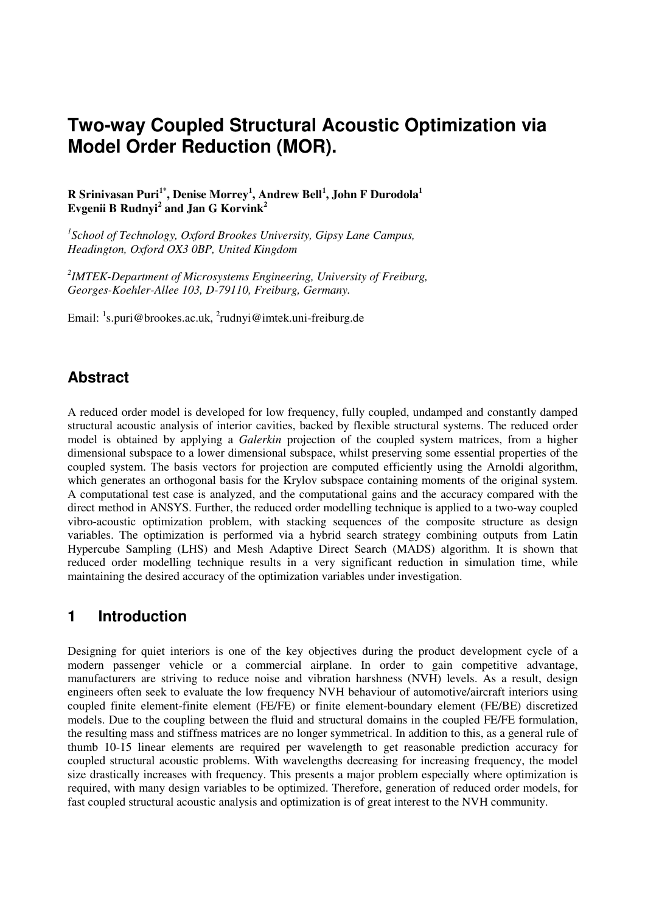# **Two-way Coupled Structural Acoustic Optimization via Model Order Reduction (MOR).**

**R Srinivasan Puri1\*, Denise Morrey<sup>1</sup> , Andrew Bell<sup>1</sup> , John F Durodola<sup>1</sup> Evgenii B Rudnyi<sup>2</sup> and Jan G Korvink<sup>2</sup>**

*1 School of Technology, Oxford Brookes University, Gipsy Lane Campus, Headington, Oxford OX3 0BP, United Kingdom* 

*2 IMTEK-Department of Microsystems Engineering, University of Freiburg, Georges-Koehler-Allee 103, D-79110, Freiburg, Germany.* 

Email: <sup>1</sup>s.puri@brookes.ac.uk, <sup>2</sup>rudnyi@imtek.uni-freiburg.de

# **Abstract**

A reduced order model is developed for low frequency, fully coupled, undamped and constantly damped structural acoustic analysis of interior cavities, backed by flexible structural systems. The reduced order model is obtained by applying a *Galerkin* projection of the coupled system matrices, from a higher dimensional subspace to a lower dimensional subspace, whilst preserving some essential properties of the coupled system. The basis vectors for projection are computed efficiently using the Arnoldi algorithm, which generates an orthogonal basis for the Krylov subspace containing moments of the original system. A computational test case is analyzed, and the computational gains and the accuracy compared with the direct method in ANSYS. Further, the reduced order modelling technique is applied to a two-way coupled vibro-acoustic optimization problem, with stacking sequences of the composite structure as design variables. The optimization is performed via a hybrid search strategy combining outputs from Latin Hypercube Sampling (LHS) and Mesh Adaptive Direct Search (MADS) algorithm. It is shown that reduced order modelling technique results in a very significant reduction in simulation time, while maintaining the desired accuracy of the optimization variables under investigation.

### **1 Introduction**

Designing for quiet interiors is one of the key objectives during the product development cycle of a modern passenger vehicle or a commercial airplane. In order to gain competitive advantage, manufacturers are striving to reduce noise and vibration harshness (NVH) levels. As a result, design engineers often seek to evaluate the low frequency NVH behaviour of automotive/aircraft interiors using coupled finite element-finite element (FE/FE) or finite element-boundary element (FE/BE) discretized models. Due to the coupling between the fluid and structural domains in the coupled FE/FE formulation, the resulting mass and stiffness matrices are no longer symmetrical. In addition to this, as a general rule of thumb 10-15 linear elements are required per wavelength to get reasonable prediction accuracy for coupled structural acoustic problems. With wavelengths decreasing for increasing frequency, the model size drastically increases with frequency. This presents a major problem especially where optimization is required, with many design variables to be optimized. Therefore, generation of reduced order models, for fast coupled structural acoustic analysis and optimization is of great interest to the NVH community.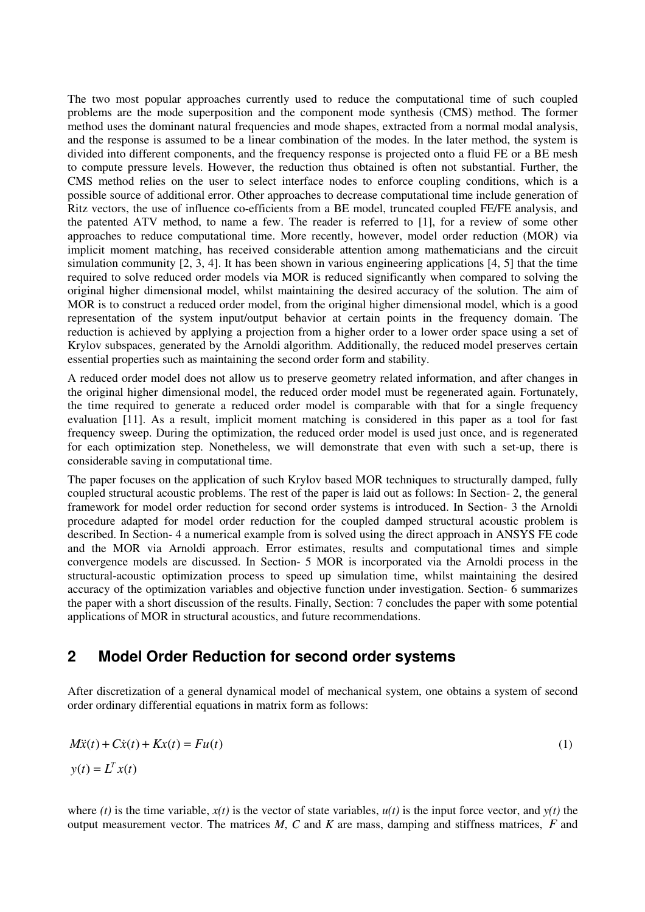The two most popular approaches currently used to reduce the computational time of such coupled problems are the mode superposition and the component mode synthesis (CMS) method. The former method uses the dominant natural frequencies and mode shapes, extracted from a normal modal analysis, and the response is assumed to be a linear combination of the modes. In the later method, the system is divided into different components, and the frequency response is projected onto a fluid FE or a BE mesh to compute pressure levels. However, the reduction thus obtained is often not substantial. Further, the CMS method relies on the user to select interface nodes to enforce coupling conditions, which is a possible source of additional error. Other approaches to decrease computational time include generation of Ritz vectors, the use of influence co-efficients from a BE model, truncated coupled FE/FE analysis, and the patented ATV method, to name a few. The reader is referred to [1], for a review of some other approaches to reduce computational time. More recently, however, model order reduction (MOR) via implicit moment matching, has received considerable attention among mathematicians and the circuit simulation community  $[2, 3, 4]$ . It has been shown in various engineering applications  $[4, 5]$  that the time required to solve reduced order models via MOR is reduced significantly when compared to solving the original higher dimensional model, whilst maintaining the desired accuracy of the solution. The aim of MOR is to construct a reduced order model, from the original higher dimensional model, which is a good representation of the system input/output behavior at certain points in the frequency domain. The reduction is achieved by applying a projection from a higher order to a lower order space using a set of Krylov subspaces, generated by the Arnoldi algorithm. Additionally, the reduced model preserves certain essential properties such as maintaining the second order form and stability.

A reduced order model does not allow us to preserve geometry related information, and after changes in the original higher dimensional model, the reduced order model must be regenerated again. Fortunately, the time required to generate a reduced order model is comparable with that for a single frequency evaluation [11]. As a result, implicit moment matching is considered in this paper as a tool for fast frequency sweep. During the optimization, the reduced order model is used just once, and is regenerated for each optimization step. Nonetheless, we will demonstrate that even with such a set-up, there is considerable saving in computational time.

The paper focuses on the application of such Krylov based MOR techniques to structurally damped, fully coupled structural acoustic problems. The rest of the paper is laid out as follows: In Section- 2, the general framework for model order reduction for second order systems is introduced. In Section- 3 the Arnoldi procedure adapted for model order reduction for the coupled damped structural acoustic problem is described. In Section- 4 a numerical example from is solved using the direct approach in ANSYS FE code and the MOR via Arnoldi approach. Error estimates, results and computational times and simple convergence models are discussed. In Section- 5 MOR is incorporated via the Arnoldi process in the structural-acoustic optimization process to speed up simulation time, whilst maintaining the desired accuracy of the optimization variables and objective function under investigation. Section- 6 summarizes the paper with a short discussion of the results. Finally, Section: 7 concludes the paper with some potential applications of MOR in structural acoustics, and future recommendations.

# **2 Model Order Reduction for second order systems**

After discretization of a general dynamical model of mechanical system, one obtains a system of second order ordinary differential equations in matrix form as follows:

$$
M\ddot{x}(t) + C\dot{x}(t) + Kx(t) = Fu(t)
$$
  
\n
$$
y(t) = L^T x(t)
$$
\n(1)

where *(t)* is the time variable,  $x(t)$  is the vector of state variables,  $u(t)$  is the input force vector, and  $y(t)$  the output measurement vector. The matrices *M*, *C* and *K* are mass, damping and stiffness matrices, *F* and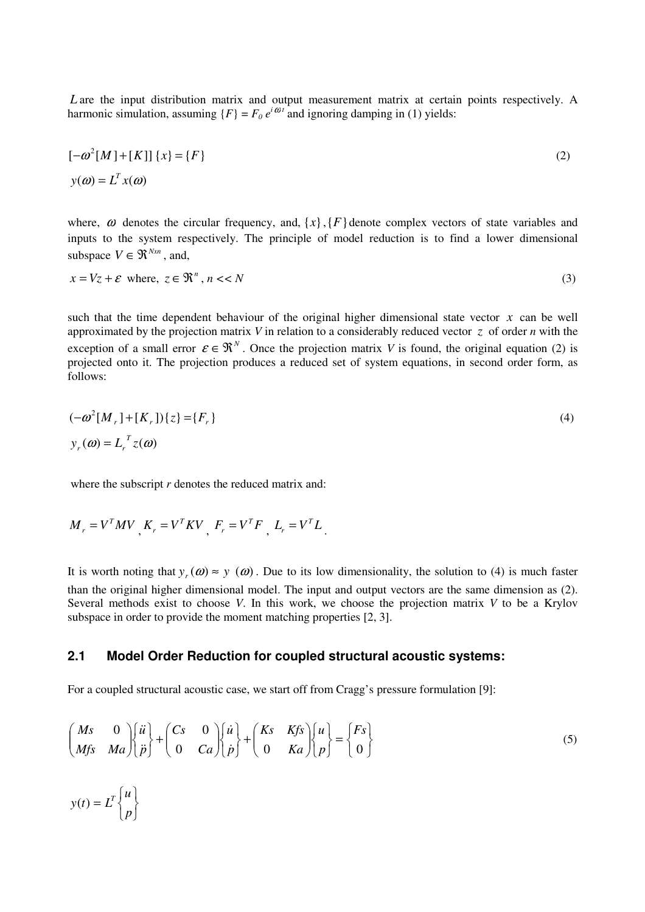*L* are the input distribution matrix and output measurement matrix at certain points respectively. A harmonic simulation, assuming  $\{F\} = F_0 e^{i\omega t}$  and ignoring damping in (1) yields:

$$
[-\omega^{2}[M]+[K]]\{x\} = \{F\}
$$
  

$$
y(\omega) = L^{T}x(\omega)
$$
 (2)

where,  $\omega$  denotes the circular frequency, and,  $\{x\}$ ,  $\{F\}$  denote complex vectors of state variables and inputs to the system respectively. The principle of model reduction is to find a lower dimensional subspace  $V \in \mathfrak{R}^{N \times n}$ , and,

$$
x = Vz + \varepsilon \text{ where, } z \in \mathbb{R}^n, n < N \tag{3}
$$

such that the time dependent behaviour of the original higher dimensional state vector  $x$  can be well approximated by the projection matrix *V* in relation to a considerably reduced vector *z* of order *n* with the exception of a small error  $\varepsilon \in \mathbb{R}^N$ . Once the projection matrix *V* is found, the original equation (2) is projected onto it. The projection produces a reduced set of system equations, in second order form, as follows:

$$
(-\omega^2 [M_r] + [K_r])\{z\} = \{F_r\}
$$
  
\n
$$
y_r(\omega) = L_r^T z(\omega)
$$
\n(4)

where the subscript *r* denotes the reduced matrix and:

$$
M_r = V^T M V
$$
,  $K_r = V^T K V$ ,  $F_r = V^T F$ ,  $L_r = V^T L$ .

It is worth noting that  $y_r(\omega) \approx y(\omega)$ . Due to its low dimensionality, the solution to (4) is much faster than the original higher dimensional model. The input and output vectors are the same dimension as (2). Several methods exist to choose *V*. In this work, we choose the projection matrix *V* to be a Krylov subspace in order to provide the moment matching properties [2, 3].

#### **2.1 Model Order Reduction for coupled structural acoustic systems:**

For a coupled structural acoustic case, we start off from Cragg's pressure formulation [9]:

$$
\begin{pmatrix}\nMs & 0 \\
Mfs & Ma\n\end{pmatrix}\n\begin{pmatrix}\n\ddot{u} \\
\ddot{p}\n\end{pmatrix} +\n\begin{pmatrix}\nCs & 0 \\
0 & Ca\n\end{pmatrix}\n\begin{pmatrix}\n\dot{u} \\
\dot{p}\n\end{pmatrix} +\n\begin{pmatrix}\nKs & Kfs \\
0 & Ka\n\end{pmatrix}\n\begin{pmatrix}\nu \\
p\n\end{pmatrix} =\n\begin{pmatrix}\nFs \\
0\n\end{pmatrix}
$$
\n
$$
y(t) = L^T\n\begin{pmatrix}\nu \\
p\n\end{pmatrix}
$$
\n(5)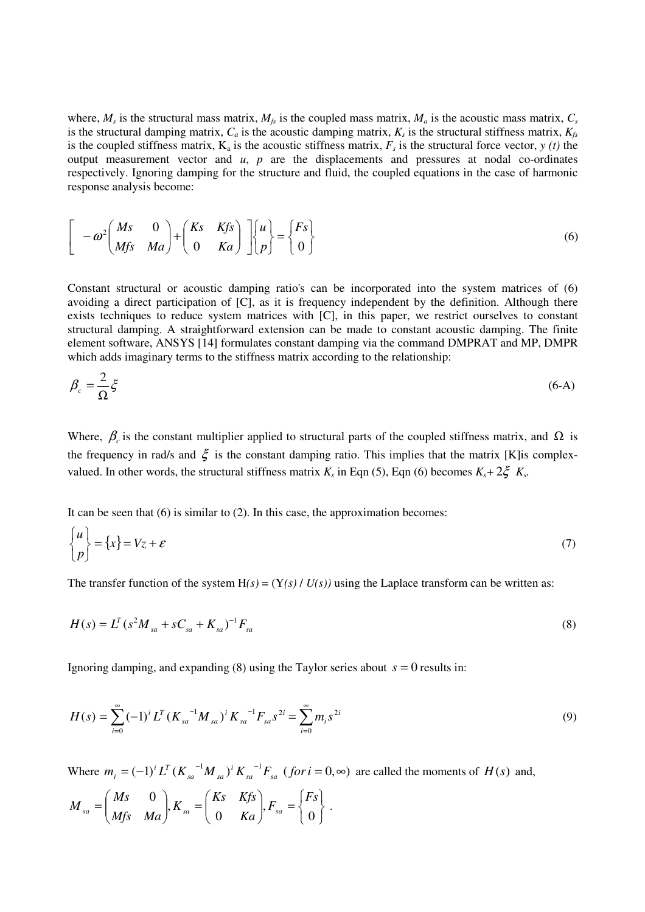where,  $M_s$  is the structural mass matrix,  $M_{fs}$  is the coupled mass matrix,  $M_a$  is the acoustic mass matrix,  $C_s$ is the structural damping matrix,  $C_a$  is the acoustic damping matrix,  $K_s$  is the structural stiffness matrix,  $K_{fs}$ is the coupled stiffness matrix,  $K_a$  is the acoustic stiffness matrix,  $F_s$  is the structural force vector,  $y(t)$  the output measurement vector and  $u$ ,  $p$  are the displacements and pressures at nodal co-ordinates respectively. Ignoring damping for the structure and fluid, the coupled equations in the case of harmonic response analysis become:

$$
\begin{bmatrix} -\omega^2 \begin{pmatrix} Ms & 0 \\ Mfs & Ma \end{pmatrix} + \begin{pmatrix} Ks & Kfs \\ 0 & Ka \end{pmatrix} \end{bmatrix} \begin{bmatrix} u \\ p \end{bmatrix} = \begin{Bmatrix} Fs \\ 0 \end{Bmatrix}
$$
 (6)

Constant structural or acoustic damping ratio's can be incorporated into the system matrices of (6) avoiding a direct participation of [C], as it is frequency independent by the definition. Although there exists techniques to reduce system matrices with [C], in this paper, we restrict ourselves to constant structural damping. A straightforward extension can be made to constant acoustic damping. The finite element software, ANSYS [14] formulates constant damping via the command DMPRAT and MP, DMPR which adds imaginary terms to the stiffness matrix according to the relationship:

$$
\beta_c = \frac{2}{\Omega} \xi \tag{6-A}
$$

Where,  $\beta_c$  is the constant multiplier applied to structural parts of the coupled stiffness matrix, and  $\Omega$  is the frequency in rad/s and  $\xi$  is the constant damping ratio. This implies that the matrix [K] is complexvalued. In other words, the structural stiffness matrix  $K_s$  in Eqn (5), Eqn (6) becomes  $K_s + 2\xi K_s$ .

It can be seen that  $(6)$  is similar to  $(2)$ . In this case, the approximation becomes:

$$
\begin{Bmatrix} u \\ p \end{Bmatrix} = \{x\} = Vz + \varepsilon
$$
 (7)

The transfer function of the system  $H(s) = (Y(s) / U(s))$  using the Laplace transform can be written as:

$$
H(s) = L^T (s^2 M_{sa} + s C_{sa} + K_{sa})^{-1} F_{sa}
$$
\n(8)

Ignoring damping, and expanding  $(8)$  using the Taylor series about  $s = 0$  results in:

$$
H(s) = \sum_{i=0}^{\infty} (-1)^i L^T (K_{sa}^{-1} M_{sa})^i K_{sa}^{-1} F_{sa} s^{2i} = \sum_{i=0}^{\infty} m_i s^{2i}
$$
 (9)

Where  $m_i = (-1)^i L^T (K_{sa}^{-1} M_{sa})^i K_{sa}^{-1} F_{sa}$  (for  $i = 0, \infty$ ) *i sa sa i T*  $\mathcal{L}_i = (-1)^i L^T (K_{sa}^{-1} M_{sa})^i K_{sa}^{-1} F_{sa}$  (*for i* = 0, $\infty$ ) are called the moments of *H*(*s*) and,

$$
M_{sa} = \begin{pmatrix} Ms & 0 \\ Mfs & Ma \end{pmatrix}, K_{sa} = \begin{pmatrix} Ks & Kfs \\ 0 & Ka \end{pmatrix}, F_{sa} = \begin{Bmatrix} Fs \\ 0 \end{Bmatrix}.
$$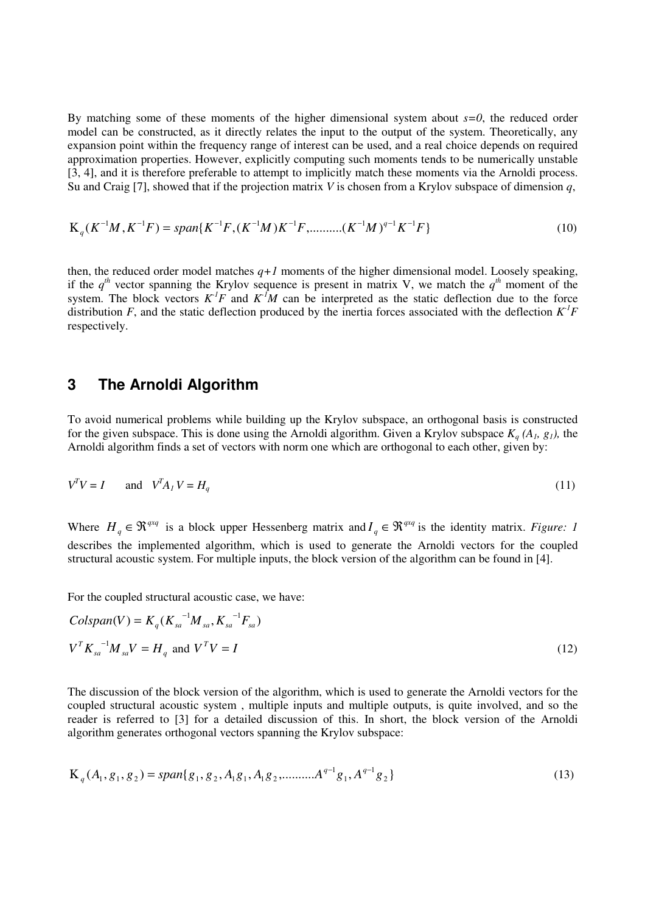By matching some of these moments of the higher dimensional system about *s=0*, the reduced order model can be constructed, as it directly relates the input to the output of the system. Theoretically, any expansion point within the frequency range of interest can be used, and a real choice depends on required approximation properties. However, explicitly computing such moments tends to be numerically unstable [3, 4], and it is therefore preferable to attempt to implicitly match these moments via the Arnoldi process. Su and Craig [7], showed that if the projection matrix *V* is chosen from a Krylov subspace of dimension *q*,

$$
K_q(K^{-1}M, K^{-1}F) = span\{K^{-1}F, (K^{-1}M)K^{-1}F, \dots \dots \dots (K^{-1}M)^{q-1}K^{-1}F\}
$$
\n(10)

then, the reduced order model matches  $q+1$  moments of the higher dimensional model. Loosely speaking, if the  $q^{th}$  vector spanning the Krylov sequence is present in matrix V, we match the  $q^{th}$  moment of the system. The block vectors  $K^I F$  and  $K^I M$  can be interpreted as the static deflection due to the force distribution *F*, and the static deflection produced by the inertia forces associated with the deflection  $K<sup>T</sup>F$ respectively.

### **3 The Arnoldi Algorithm**

To avoid numerical problems while building up the Krylov subspace, an orthogonal basis is constructed for the given subspace. This is done using the Arnoldi algorithm. Given a Krylov subspace  $K_q(A_i, g_i)$ , the Arnoldi algorithm finds a set of vectors with norm one which are orthogonal to each other, given by:

$$
V^T V = I \qquad \text{and} \quad V^T A_I V = H_q \tag{11}
$$

Where  $H_q \in \mathbb{R}^{q \times q}$  is a block upper Hessenberg matrix and  $I_q \in \mathbb{R}^{q \times q}$  is the identity matrix. *Figure: 1* describes the implemented algorithm, which is used to generate the Arnoldi vectors for the coupled structural acoustic system. For multiple inputs, the block version of the algorithm can be found in [4].

For the coupled structural acoustic case, we have:

$$
Colspan(V) = K_q(K_{sa}^{-1}M_{sa}, K_{sa}^{-1}F_{sa})
$$
  
\n
$$
V^T K_{sa}^{-1}M_{sa}V = H_q \text{ and } V^T V = I
$$
\n(12)

The discussion of the block version of the algorithm, which is used to generate the Arnoldi vectors for the coupled structural acoustic system , multiple inputs and multiple outputs, is quite involved, and so the reader is referred to [3] for a detailed discussion of this. In short, the block version of the Arnoldi algorithm generates orthogonal vectors spanning the Krylov subspace:

$$
K_q(A_1, g_1, g_2) = span\{g_1, g_2, A_1g_1, A_1g_2, \dots, A^{q-1}g_1, A^{q-1}g_2\}
$$
\n(13)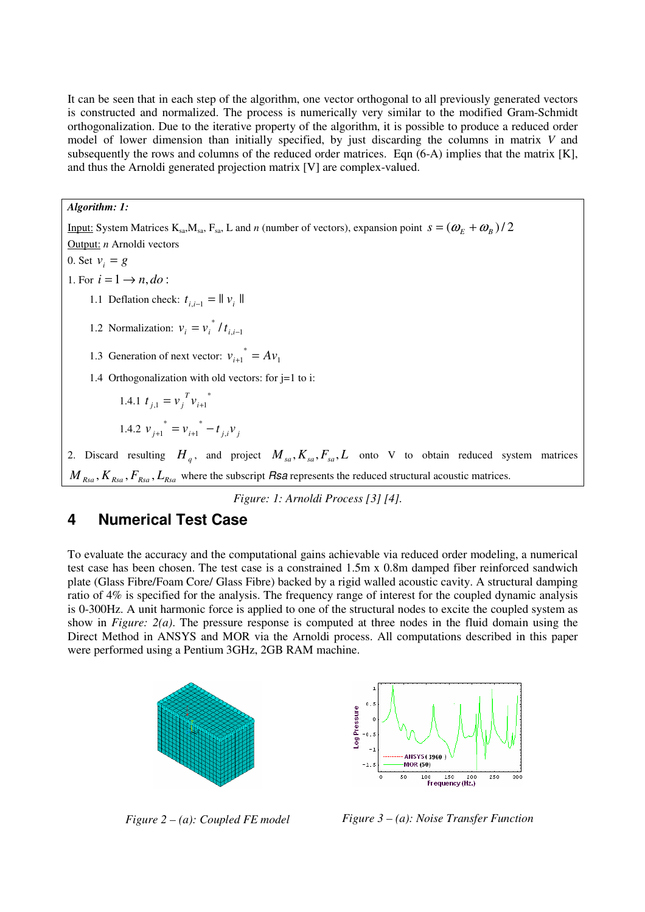It can be seen that in each step of the algorithm, one vector orthogonal to all previously generated vectors is constructed and normalized. The process is numerically very similar to the modified Gram-Schmidt orthogonalization. Due to the iterative property of the algorithm, it is possible to produce a reduced order model of lower dimension than initially specified, by just discarding the columns in matrix *V* and subsequently the rows and columns of the reduced order matrices. Eqn (6-A) implies that the matrix [K], and thus the Arnoldi generated projection matrix [V] are complex-valued.

#### *Algorithm: 1:*

Input: System Matrices K<sub>sa</sub>, M<sub>sa</sub>, F<sub>sa</sub>, L and *n* (number of vectors), expansion point  $s = (\omega_E + \omega_B)/2$ Output: *n* Arnoldi vectors 0. Set  $v_i = g$ 

1. For  $i = 1 \rightarrow n$ ,  $do$ :

- 1.1 Deflation check:  $t_{i,i-1} = ||v_i||$
- 1.2 Normalization:  $v_i = v_i / t_{i,i-1}$  $v_i = v_i^* / t_{i,i-1}$
- 1.3 Generation of next vector:  $v_{i+1}^* = Av_1$ 
	- 1.4 Orthogonalization with old vectors: for j=1 to i:

1.4.1 
$$
t_{j,1} = v_j^T v_{i+1}^*
$$
  
1.4.2  $v_{j+1}^* = v_{i+1}^* - t_{j,i} v_j$ 

2. Discard resulting  $H_q$ , and project  $M_{sa}$ ,  $K_{sa}$ ,  $F_{sa}$ ,  $L$  onto V to obtain reduced system matrices  $M_{Rsa}$ ,  $K_{Rsa}$ ,  $F_{Rsa}$ ,  $L_{Rsa}$  where the subscript *Rsa* represents the reduced structural acoustic matrices.

*Figure: 1: Arnoldi Process [3] [4].* 

# **4 Numerical Test Case**

To evaluate the accuracy and the computational gains achievable via reduced order modeling, a numerical test case has been chosen. The test case is a constrained 1.5m x 0.8m damped fiber reinforced sandwich plate (Glass Fibre/Foam Core/ Glass Fibre) backed by a rigid walled acoustic cavity. A structural damping ratio of 4% is specified for the analysis. The frequency range of interest for the coupled dynamic analysis is 0-300Hz. A unit harmonic force is applied to one of the structural nodes to excite the coupled system as show in *Figure: 2(a)*. The pressure response is computed at three nodes in the fluid domain using the Direct Method in ANSYS and MOR via the Arnoldi process. All computations described in this paper were performed using a Pentium 3GHz, 2GB RAM machine.





*Figure 2 – (a): Coupled FE model Figure 3 – (a): Noise Transfer Function*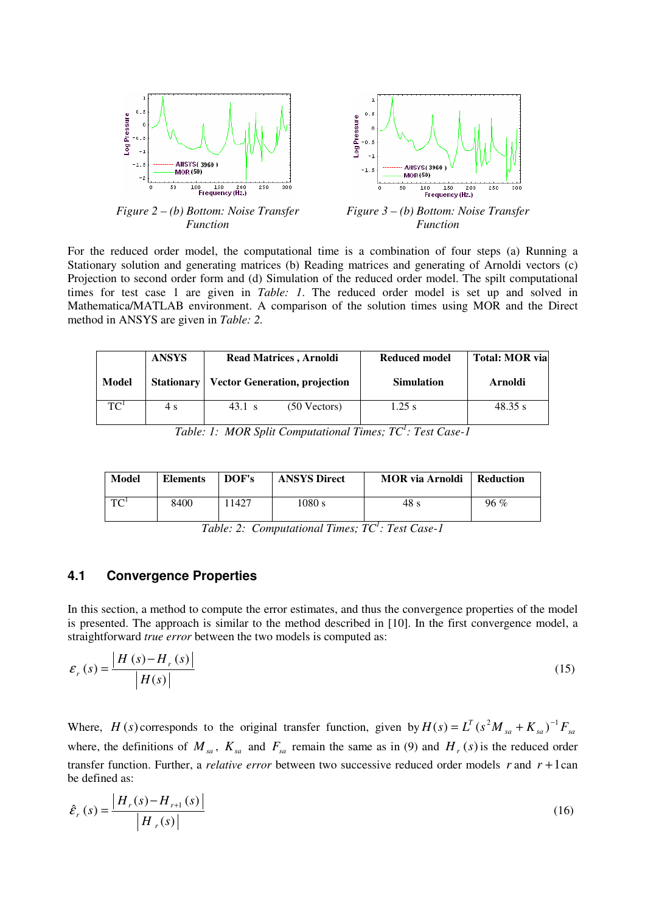

*Figure 2 – (b) Bottom: Noise Transfer Function* 

*Figure 3 – (b) Bottom: Noise Transfer Function* 

For the reduced order model, the computational time is a combination of four steps (a) Running a Stationary solution and generating matrices (b) Reading matrices and generating of Arnoldi vectors (c) Projection to second order form and (d) Simulation of the reduced order model. The spilt computational times for test case 1 are given in *Table: 1*. The reduced order model is set up and solved in Mathematica/MATLAB environment. A comparison of the solution times using MOR and the Direct method in ANSYS are given in *Table: 2.*

|                 | <b>ANSYS</b> | <b>Read Matrices, Arnoldi</b>                     | <b>Reduced model</b> | <b>Total: MOR via</b> |
|-----------------|--------------|---------------------------------------------------|----------------------|-----------------------|
| Model           |              | <b>Stationary   Vector Generation, projection</b> | <b>Simulation</b>    | Arnoldi               |
| TC <sup>1</sup> | 4 s          | $43.1 \text{ s}$<br>$(50$ Vectors)                | $1.25$ s             | 48.35 s               |

*Table: 1: MOR Split Computational Times; TC<sup>1</sup> : Test Case-1* 

| <b>Model</b> | <b>Elements</b> | DOF's | <b>ANSYS Direct</b> | <b>MOR</b> via Arnoldi | Reduction |
|--------------|-----------------|-------|---------------------|------------------------|-----------|
| $T^{-1}$     | 8400            | 1427  | 1080 s              | 48 s                   | $96\%$    |

*Table: 2: Computational Times; TC<sup>1</sup> : Test Case-1* 

#### **4.1 Convergence Properties**

In this section, a method to compute the error estimates, and thus the convergence properties of the model is presented. The approach is similar to the method described in [10]. In the first convergence model, a straightforward *true error* between the two models is computed as:

$$
\mathcal{E}_r(s) = \frac{|H(s) - H_r(s)|}{|H(s)|} \tag{15}
$$

Where, *H* (*s*) corresponds to the original transfer function, given by  $H(s) = L^T (s^2 M_{sa} + K_{sa})^{-1} F_{sa}$ where, the definitions of  $M_{sa}$ ,  $K_{sa}$  and  $F_{sa}$  remain the same as in (9) and  $H_r(s)$  is the reduced order transfer function. Further, a *relative error* between two successive reduced order models  $r$  and  $r + 1$ can be defined as:

$$
\hat{\mathcal{E}}_{r}(s) = \frac{|H_{r}(s) - H_{r+1}(s)|}{|H_{r}(s)|}
$$
\n(16)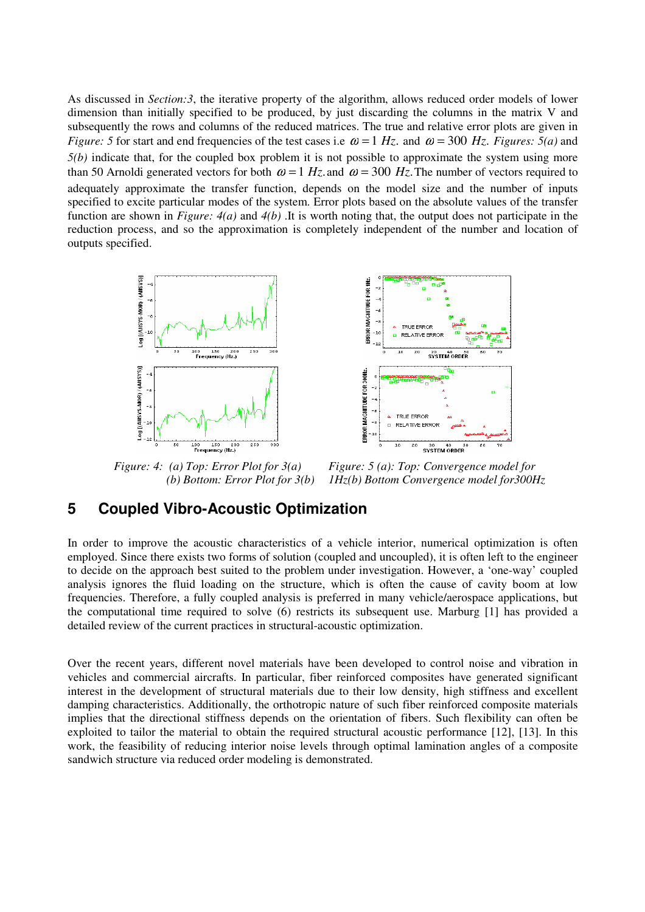As discussed in *Section:3*, the iterative property of the algorithm, allows reduced order models of lower dimension than initially specified to be produced, by just discarding the columns in the matrix V and subsequently the rows and columns of the reduced matrices. The true and relative error plots are given in *Figure:* 5 for start and end frequencies of the test cases i.e  $\omega = 1$  *Hz*. and  $\omega = 300$  *Hz. Figures:* 5(*a*) and *5(b)* indicate that, for the coupled box problem it is not possible to approximate the system using more than 50 Arnoldi generated vectors for both  $\omega = 1 Hz$  and  $\omega = 300 Hz$ . The number of vectors required to adequately approximate the transfer function, depends on the model size and the number of inputs specified to excite particular modes of the system. Error plots based on the absolute values of the transfer function are shown in *Figure: 4(a)* and *4(b)* .It is worth noting that, the output does not participate in the reduction process, and so the approximation is completely independent of the number and location of outputs specified.



 *(b) Bottom: Error Plot for 3(b) Figure: 5 (a): Top: Convergence model for 1Hz(b) Bottom Convergence model for300Hz* 

30 40 51<br>SYSTEM ORDER

60

### **5 Coupled Vibro-Acoustic Optimization**

*Figure: 4: (a) Top: Error Plot for 3(a)* 

In order to improve the acoustic characteristics of a vehicle interior, numerical optimization is often employed. Since there exists two forms of solution (coupled and uncoupled), it is often left to the engineer to decide on the approach best suited to the problem under investigation. However, a 'one-way' coupled analysis ignores the fluid loading on the structure, which is often the cause of cavity boom at low frequencies. Therefore, a fully coupled analysis is preferred in many vehicle/aerospace applications, but the computational time required to solve (6) restricts its subsequent use. Marburg [1] has provided a detailed review of the current practices in structural-acoustic optimization.

Over the recent years, different novel materials have been developed to control noise and vibration in vehicles and commercial aircrafts. In particular, fiber reinforced composites have generated significant interest in the development of structural materials due to their low density, high stiffness and excellent damping characteristics. Additionally, the orthotropic nature of such fiber reinforced composite materials implies that the directional stiffness depends on the orientation of fibers. Such flexibility can often be exploited to tailor the material to obtain the required structural acoustic performance [12], [13]. In this work, the feasibility of reducing interior noise levels through optimal lamination angles of a composite sandwich structure via reduced order modeling is demonstrated.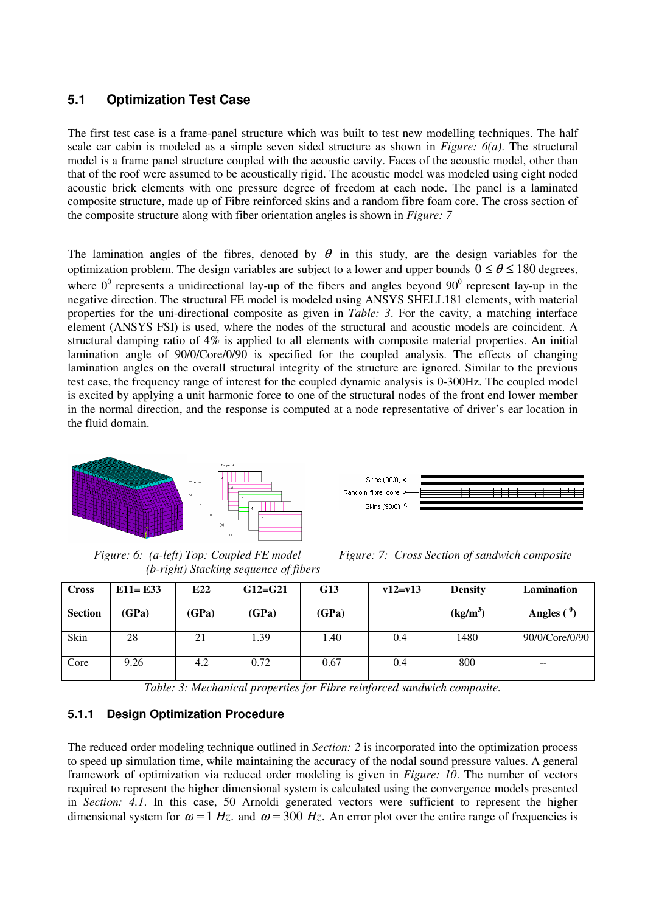### **5.1 Optimization Test Case**

The first test case is a frame-panel structure which was built to test new modelling techniques. The half scale car cabin is modeled as a simple seven sided structure as shown in *Figure: 6(a)*. The structural model is a frame panel structure coupled with the acoustic cavity. Faces of the acoustic model, other than that of the roof were assumed to be acoustically rigid. The acoustic model was modeled using eight noded acoustic brick elements with one pressure degree of freedom at each node. The panel is a laminated composite structure, made up of Fibre reinforced skins and a random fibre foam core. The cross section of the composite structure along with fiber orientation angles is shown in *Figure: 7*

The lamination angles of the fibres, denoted by  $\theta$  in this study, are the design variables for the optimization problem. The design variables are subject to a lower and upper bounds  $0 \le \theta \le 180$  degrees, where  $0^0$  represents a unidirectional lay-up of the fibers and angles beyond  $90^0$  represent lay-up in the negative direction. The structural FE model is modeled using ANSYS SHELL181 elements, with material properties for the uni-directional composite as given in *Table: 3*. For the cavity, a matching interface element (ANSYS FSI) is used, where the nodes of the structural and acoustic models are coincident. A structural damping ratio of 4% is applied to all elements with composite material properties. An initial lamination angle of 90/0/Core/0/90 is specified for the coupled analysis. The effects of changing lamination angles on the overall structural integrity of the structure are ignored. Similar to the previous test case, the frequency range of interest for the coupled dynamic analysis is 0-300Hz. The coupled model is excited by applying a unit harmonic force to one of the structural nodes of the front end lower member in the normal direction, and the response is computed at a node representative of driver's ear location in the fluid domain.



Skins (90/0) < Random fibre core < Skins (90/0)<sup>3</sup>

*Figure: 6: (a-left) Top: Coupled FE model (b-right) Stacking sequence of fibers* 

*Figure: 7: Cross Section of sandwich composite* 

| <b>Cross</b>   | $E11 = E33$ | E22   | $G12=G21$ | <b>G13</b> | $v12 = v13$ | <b>Density</b> | <b>Lamination</b> |
|----------------|-------------|-------|-----------|------------|-------------|----------------|-------------------|
| <b>Section</b> | (GPa)       | (GPa) | (GPa)     | (GPa)      |             | $(kg/m^3)$     | Angles $(9)$      |
| Skin           | 28          | 21    | 1.39      | 1.40       | 0.4         | 1480           | 90/0/Core/0/90    |
| Core           | 9.26        | 4.2   | 0.72      | 0.67       | 0.4         | 800            | $- -$             |

*Table: 3: Mechanical properties for Fibre reinforced sandwich composite.* 

#### **5.1.1 Design Optimization Procedure**

The reduced order modeling technique outlined in *Section: 2* is incorporated into the optimization process to speed up simulation time, while maintaining the accuracy of the nodal sound pressure values. A general framework of optimization via reduced order modeling is given in *Figure: 10*. The number of vectors required to represent the higher dimensional system is calculated using the convergence models presented in *Section: 4.1*. In this case, 50 Arnoldi generated vectors were sufficient to represent the higher dimensional system for  $\omega = 1$  *Hz*. and  $\omega = 300$  *Hz*. An error plot over the entire range of frequencies is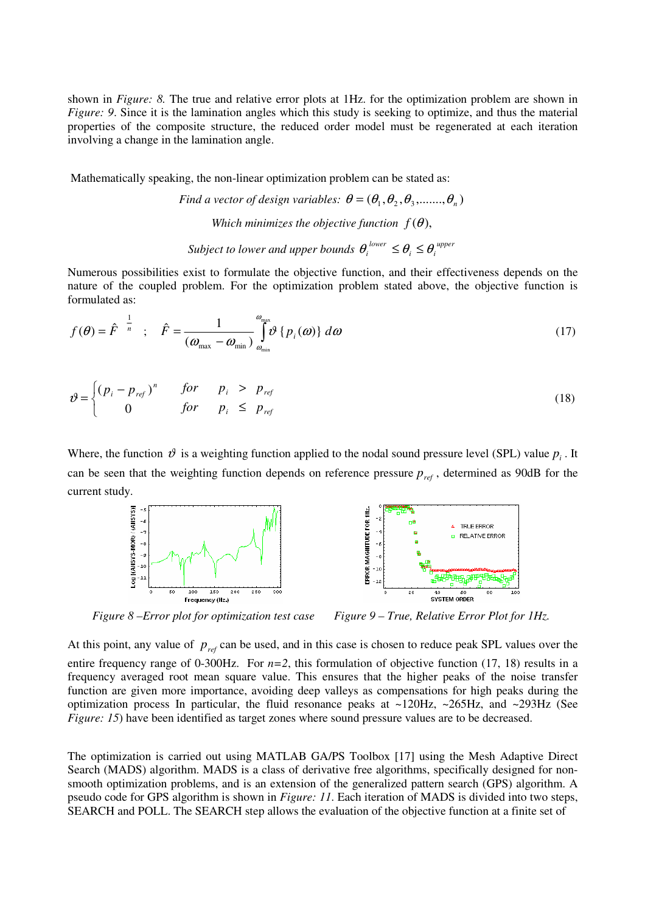shown in *Figure: 8*. The true and relative error plots at 1Hz. for the optimization problem are shown in *Figure: 9.* Since it is the lamination angles which this study is seeking to optimize, and thus the material properties of the composite structure, the reduced order model must be regenerated at each iteration involving a change in the lamination angle.

Mathematically speaking, the non-linear optimization problem can be stated as:

*Find a vector of design variables:*  $\theta = (\theta_1, \theta_2, \theta_3, \ldots, \theta_n)$ *Which minimizes the objective function*  $f(\theta)$ , *Subject to lower and upper bounds*  $\theta_i^{lower} \leq \theta_i \leq \theta_i^{upper}$ 

Numerous possibilities exist to formulate the objective function, and their effectiveness depends on the

nature of the coupled problem. For the optimization problem stated above, the objective function is formulated as: 1 ω

$$
f(\theta) = \hat{F}^{-\frac{1}{n}} \quad ; \quad \hat{F} = \frac{1}{(\omega_{\text{max}} - \omega_{\text{min}})} \int_{\omega_{\text{min}}}^{\omega_{\text{max}}} \vartheta \{p_i(\omega)\} d\omega \tag{17}
$$

$$
\vartheta = \begin{cases} (p_i - p_{\text{ref}})^n & \text{for} \quad p_i > p_{\text{ref}} \\ 0 & \text{for} \quad p_i \le p_{\text{ref}} \end{cases}
$$
(18)

Where, the function  $\vartheta$  is a weighting function applied to the nodal sound pressure level (SPL) value  $p_i$ . It can be seen that the weighting function depends on reference pressure  $p_{ref}$ , determined as 90dB for the current study.



*Figure 8 –Error plot for optimization test case Figure 9 – True, Relative Error Plot for 1Hz.* 

At this point, any value of  $p_{ref}$  can be used, and in this case is chosen to reduce peak SPL values over the entire frequency range of 0-300Hz. For  $n=2$ , this formulation of objective function (17, 18) results in a frequency averaged root mean square value. This ensures that the higher peaks of the noise transfer function are given more importance, avoiding deep valleys as compensations for high peaks during the optimization process In particular, the fluid resonance peaks at ~120Hz, ~265Hz, and ~293Hz (See *Figure: 15*) have been identified as target zones where sound pressure values are to be decreased.

The optimization is carried out using MATLAB GA/PS Toolbox [17] using the Mesh Adaptive Direct Search (MADS) algorithm. MADS is a class of derivative free algorithms, specifically designed for nonsmooth optimization problems, and is an extension of the generalized pattern search (GPS) algorithm. A pseudo code for GPS algorithm is shown in *Figure: 11*. Each iteration of MADS is divided into two steps, SEARCH and POLL. The SEARCH step allows the evaluation of the objective function at a finite set of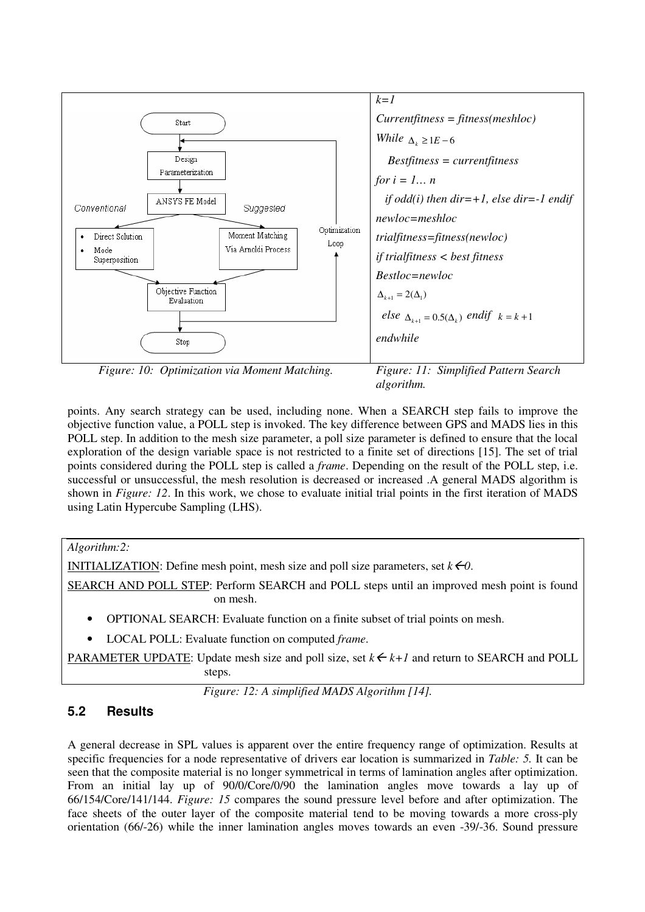

*Figure: 10: Optimization via Moment Matching. Figure: 11: Simplified Pattern Search* 

*algorithm.* 

points. Any search strategy can be used, including none. When a SEARCH step fails to improve the objective function value, a POLL step is invoked. The key difference between GPS and MADS lies in this POLL step. In addition to the mesh size parameter, a poll size parameter is defined to ensure that the local exploration of the design variable space is not restricted to a finite set of directions [15]. The set of trial points considered during the POLL step is called a *frame*. Depending on the result of the POLL step, i.e. successful or unsuccessful, the mesh resolution is decreased or increased .A general MADS algorithm is shown in *Figure: 12*. In this work, we chose to evaluate initial trial points in the first iteration of MADS using Latin Hypercube Sampling (LHS).

### *Algorithm:2:*

INITIALIZATION: Define mesh point, mesh size and poll size parameters, set  $k \in \mathcal{O}$ .

SEARCH AND POLL STEP: Perform SEARCH and POLL steps until an improved mesh point is found on mesh.

- OPTIONAL SEARCH: Evaluate function on a finite subset of trial points on mesh.
- LOCAL POLL: Evaluate function on computed *frame*.

PARAMETER UPDATE: Update mesh size and poll size, set  $k \in k+1$  and return to SEARCH and POLL steps.

*Figure: 12: A simplified MADS Algorithm [14].* 

# **5.2 Results**

A general decrease in SPL values is apparent over the entire frequency range of optimization. Results at specific frequencies for a node representative of drivers ear location is summarized in *Table: 5.* It can be seen that the composite material is no longer symmetrical in terms of lamination angles after optimization. From an initial lay up of 90/0/Core/0/90 the lamination angles move towards a lay up of 66/154/Core/141/144. *Figure: 15* compares the sound pressure level before and after optimization. The face sheets of the outer layer of the composite material tend to be moving towards a more cross-ply orientation (66/-26) while the inner lamination angles moves towards an even -39/-36. Sound pressure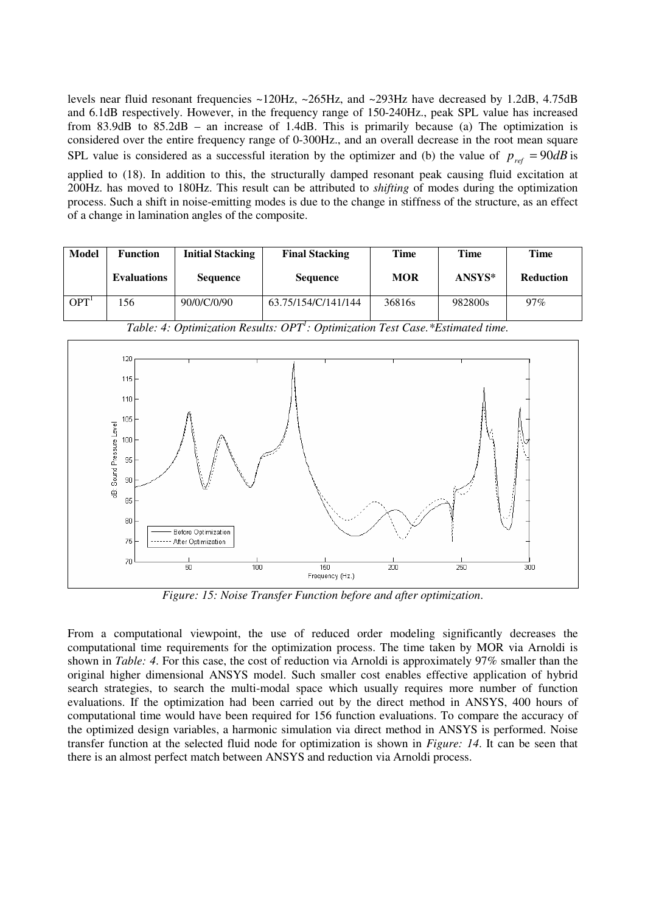levels near fluid resonant frequencies  $\sim$ 120Hz,  $\sim$ 265Hz, and  $\sim$ 293Hz have decreased by 1.2dB, 4.75dB and 6.1dB respectively. However, in the frequency range of 150-240Hz., peak SPL value has increased from 83.9dB to 85.2dB – an increase of 1.4dB. This is primarily because (a) The optimization is considered over the entire frequency range of 0-300Hz., and an overall decrease in the root mean square SPL value is considered as a successful iteration by the optimizer and (b) the value of  $p_{ref} = 90dB$  is

applied to (18). In addition to this, the structurally damped resonant peak causing fluid excitation at 200Hz. has moved to 180Hz. This result can be attributed to *shifting* of modes during the optimization process. Such a shift in noise-emitting modes is due to the change in stiffness of the structure, as an effect of a change in lamination angles of the composite.

| Model | <b>Function</b>    | <b>Initial Stacking</b> | <b>Final Stacking</b> | Time       | <b>Time</b> | <b>Time</b>      |
|-------|--------------------|-------------------------|-----------------------|------------|-------------|------------------|
|       | <b>Evaluations</b> | <b>Sequence</b>         | <b>Sequence</b>       | <b>MOR</b> | ANSYS*      | <b>Reduction</b> |
| OPT   | l 56               | 90/0/C/0/90             | 63.75/154/C/141/144   | 36816s     | 982800s     | $97\%$           |



*Table: 4: Optimization Results: OPT<sup>1</sup> : Optimization Test Case.\*Estimated time.* 

*Figure: 15: Noise Transfer Function before and after optimization*.

From a computational viewpoint, the use of reduced order modeling significantly decreases the computational time requirements for the optimization process. The time taken by MOR via Arnoldi is shown in *Table: 4*. For this case, the cost of reduction via Arnoldi is approximately 97% smaller than the original higher dimensional ANSYS model. Such smaller cost enables effective application of hybrid search strategies, to search the multi-modal space which usually requires more number of function evaluations. If the optimization had been carried out by the direct method in ANSYS, 400 hours of computational time would have been required for 156 function evaluations. To compare the accuracy of the optimized design variables, a harmonic simulation via direct method in ANSYS is performed. Noise transfer function at the selected fluid node for optimization is shown in *Figure: 14*. It can be seen that there is an almost perfect match between ANSYS and reduction via Arnoldi process.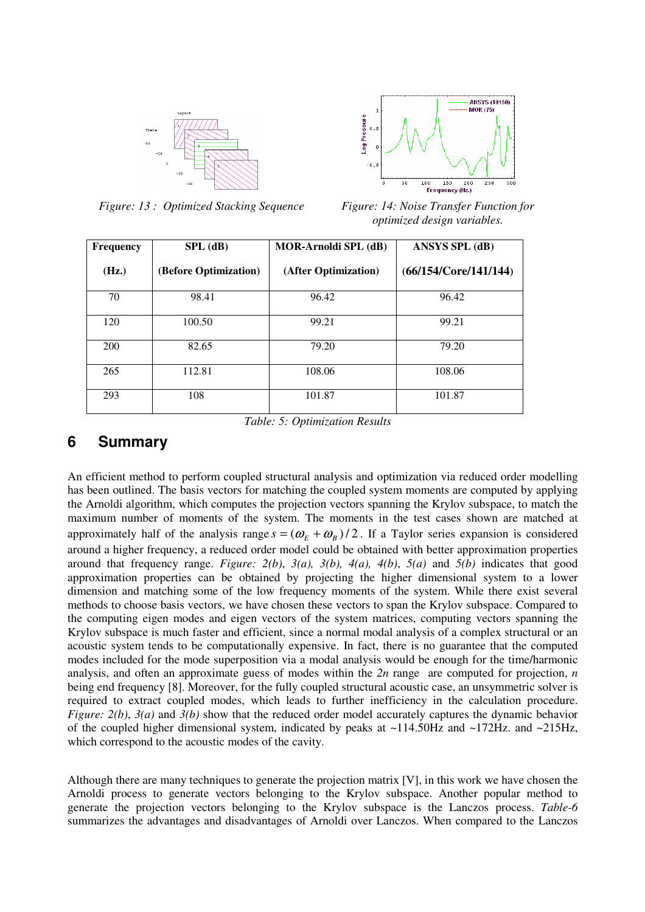



*Figure: 13 : Optimized Stacking Sequence* Figure: 14: Noise Transfer Function for *optimized design variables.* 

| <b>Frequency</b> | $SPL$ (dB)            | <b>MOR-Arnoldi SPL (dB)</b> | <b>ANSYS SPL (dB)</b> |
|------------------|-----------------------|-----------------------------|-----------------------|
| (Hz.)            | (Before Optimization) | (After Optimization)        | (66/154/Core/141/144) |
| 70               | 98.41                 | 96.42                       | 96.42                 |
| 120              | 100.50                | 99.21                       | 99.21                 |
| 200              | 82.65                 | 79.20                       | 79.20                 |
| 265              | 112.81                | 108.06                      | 108.06                |
| 293              | 108                   | 101.87                      | 101.87                |

*Table: 5: Optimization Results* 

# **6 Summary**

An efficient method to perform coupled structural analysis and optimization via reduced order modelling has been outlined. The basis vectors for matching the coupled system moments are computed by applying the Arnoldi algorithm, which computes the projection vectors spanning the Krylov subspace, to match the maximum number of moments of the system. The moments in the test cases shown are matched at approximately half of the analysis range  $s = (\omega_E + \omega_B)/2$ . If a Taylor series expansion is considered around a higher frequency, a reduced order model could be obtained with better approximation properties around that frequency range. *Figure: 2(b)*, *3(a), 3(b), 4(a), 4(b)*, *5(a)* and *5(b)* indicates that good approximation properties can be obtained by projecting the higher dimensional system to a lower dimension and matching some of the low frequency moments of the system. While there exist several methods to choose basis vectors, we have chosen these vectors to span the Krylov subspace. Compared to the computing eigen modes and eigen vectors of the system matrices, computing vectors spanning the Krylov subspace is much faster and efficient, since a normal modal analysis of a complex structural or an acoustic system tends to be computationally expensive. In fact, there is no guarantee that the computed modes included for the mode superposition via a modal analysis would be enough for the time/harmonic analysis, and often an approximate guess of modes within the *2n* range are computed for projection, *n* being end frequency [8]. Moreover, for the fully coupled structural acoustic case, an unsymmetric solver is required to extract coupled modes, which leads to further inefficiency in the calculation procedure. *Figure: 2(b)*, *3(a)* and *3(b)* show that the reduced order model accurately captures the dynamic behavior of the coupled higher dimensional system, indicated by peaks at ~114.50Hz and ~172Hz. and ~215Hz, which correspond to the acoustic modes of the cavity.

Although there are many techniques to generate the projection matrix [V], in this work we have chosen the Arnoldi process to generate vectors belonging to the Krylov subspace. Another popular method to generate the projection vectors belonging to the Krylov subspace is the Lanczos process. *Table-6* summarizes the advantages and disadvantages of Arnoldi over Lanczos. When compared to the Lanczos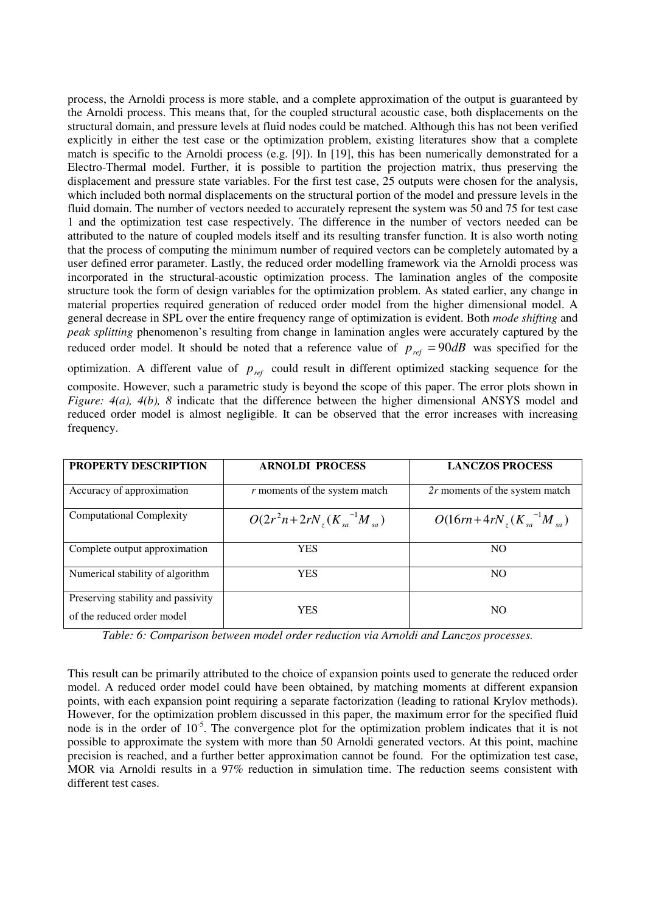process, the Arnoldi process is more stable, and a complete approximation of the output is guaranteed by the Arnoldi process. This means that, for the coupled structural acoustic case, both displacements on the structural domain, and pressure levels at fluid nodes could be matched. Although this has not been verified explicitly in either the test case or the optimization problem, existing literatures show that a complete match is specific to the Arnoldi process (e.g. [9]). In [19], this has been numerically demonstrated for a Electro-Thermal model. Further, it is possible to partition the projection matrix, thus preserving the displacement and pressure state variables. For the first test case, 25 outputs were chosen for the analysis, which included both normal displacements on the structural portion of the model and pressure levels in the fluid domain. The number of vectors needed to accurately represent the system was 50 and 75 for test case 1 and the optimization test case respectively. The difference in the number of vectors needed can be attributed to the nature of coupled models itself and its resulting transfer function. It is also worth noting that the process of computing the minimum number of required vectors can be completely automated by a user defined error parameter. Lastly, the reduced order modelling framework via the Arnoldi process was incorporated in the structural-acoustic optimization process. The lamination angles of the composite structure took the form of design variables for the optimization problem. As stated earlier, any change in material properties required generation of reduced order model from the higher dimensional model. A general decrease in SPL over the entire frequency range of optimization is evident. Both *mode shifting* and *peak splitting* phenomenon's resulting from change in lamination angles were accurately captured by the reduced order model. It should be noted that a reference value of  $p_{ref} = 90dB$  was specified for the optimization. A different value of  $p_{ref}$  could result in different optimized stacking sequence for the

composite. However, such a parametric study is beyond the scope of this paper. The error plots shown in *Figure: 4(a), 4(b), 8* indicate that the difference between the higher dimensional ANSYS model and reduced order model is almost negligible. It can be observed that the error increases with increasing frequency.

| <b>PROPERTY DESCRIPTION</b>                                      | <b>ARNOLDI PROCESS</b>            | <b>LANCZOS PROCESS</b>                |
|------------------------------------------------------------------|-----------------------------------|---------------------------------------|
| Accuracy of approximation                                        | r moments of the system match     | 2r moments of the system match        |
| <b>Computational Complexity</b>                                  | $O(2r^2n+2rN,(K_{sa}^{-1}M_{sa})$ | $O(16rn + 4rN_{r}(K_{sa}^{-1}M_{sa})$ |
| Complete output approximation                                    | <b>YES</b>                        | NO <sub>1</sub>                       |
| Numerical stability of algorithm                                 | <b>YES</b>                        | N <sub>O</sub>                        |
| Preserving stability and passivity<br>of the reduced order model | <b>YES</b>                        | N <sub>O</sub>                        |

*Table: 6: Comparison between model order reduction via Arnoldi and Lanczos processes.* 

This result can be primarily attributed to the choice of expansion points used to generate the reduced order model. A reduced order model could have been obtained, by matching moments at different expansion points, with each expansion point requiring a separate factorization (leading to rational Krylov methods). However, for the optimization problem discussed in this paper, the maximum error for the specified fluid node is in the order of 10<sup>-5</sup>. The convergence plot for the optimization problem indicates that it is not possible to approximate the system with more than 50 Arnoldi generated vectors. At this point, machine precision is reached, and a further better approximation cannot be found. For the optimization test case, MOR via Arnoldi results in a 97% reduction in simulation time. The reduction seems consistent with different test cases.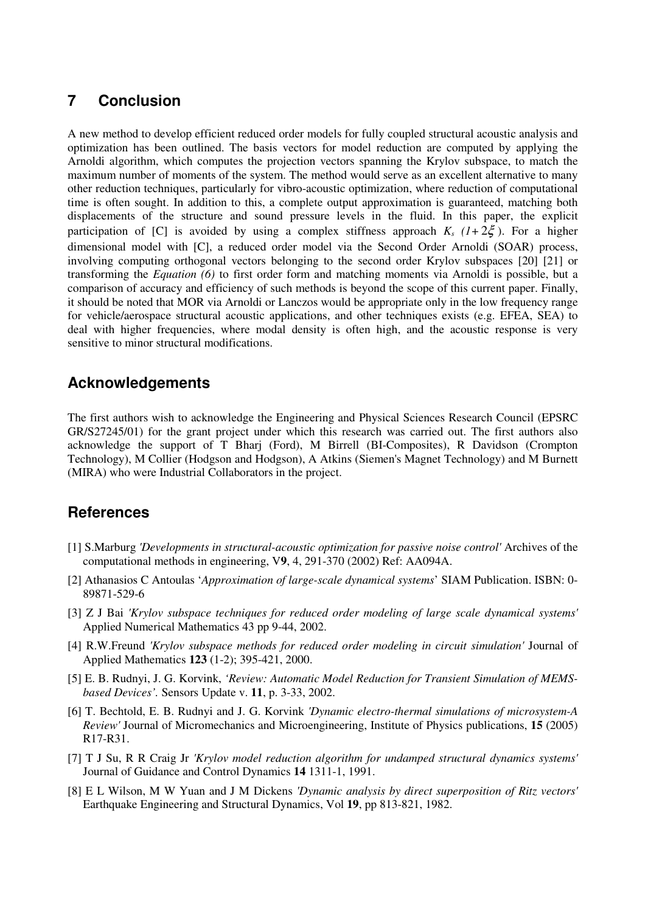# **7 Conclusion**

A new method to develop efficient reduced order models for fully coupled structural acoustic analysis and optimization has been outlined. The basis vectors for model reduction are computed by applying the Arnoldi algorithm, which computes the projection vectors spanning the Krylov subspace, to match the maximum number of moments of the system. The method would serve as an excellent alternative to many other reduction techniques, particularly for vibro-acoustic optimization, where reduction of computational time is often sought. In addition to this, a complete output approximation is guaranteed, matching both displacements of the structure and sound pressure levels in the fluid. In this paper, the explicit participation of [C] is avoided by using a complex stiffness approach  $K_s$  ( $1+2\zeta$ ). For a higher dimensional model with [C], a reduced order model via the Second Order Arnoldi (SOAR) process, involving computing orthogonal vectors belonging to the second order Krylov subspaces [20] [21] or transforming the *Equation (6)* to first order form and matching moments via Arnoldi is possible, but a comparison of accuracy and efficiency of such methods is beyond the scope of this current paper. Finally, it should be noted that MOR via Arnoldi or Lanczos would be appropriate only in the low frequency range for vehicle/aerospace structural acoustic applications, and other techniques exists (e.g. EFEA, SEA) to deal with higher frequencies, where modal density is often high, and the acoustic response is very sensitive to minor structural modifications.

# **Acknowledgements**

The first authors wish to acknowledge the Engineering and Physical Sciences Research Council (EPSRC GR/S27245/01) for the grant project under which this research was carried out. The first authors also acknowledge the support of T Bharj (Ford), M Birrell (BI-Composites), R Davidson (Crompton Technology), M Collier (Hodgson and Hodgson), A Atkins (Siemen's Magnet Technology) and M Burnett (MIRA) who were Industrial Collaborators in the project.

# **References**

- [1] S.Marburg *'Developments in structural-acoustic optimization for passive noise control'* Archives of the computational methods in engineering, V**9**, 4, 291-370 (2002) Ref: AA094A.
- [2] Athanasios C Antoulas '*Approximation of large-scale dynamical systems*' SIAM Publication. ISBN: 0- 89871-529-6
- [3] Z J Bai *'Krylov subspace techniques for reduced order modeling of large scale dynamical systems'* Applied Numerical Mathematics 43 pp 9-44, 2002.
- [4] R.W.Freund *'Krylov subspace methods for reduced order modeling in circuit simulation'* Journal of Applied Mathematics **123** (1-2); 395-421, 2000.
- [5] E. B. Rudnyi, J. G. Korvink, *'Review: Automatic Model Reduction for Transient Simulation of MEMSbased Devices'.* Sensors Update v. **11**, p. 3-33, 2002.
- [6] T. Bechtold, E. B. Rudnyi and J. G. Korvink *'Dynamic electro-thermal simulations of microsystem-A Review'* Journal of Micromechanics and Microengineering, Institute of Physics publications, **15** (2005) R17-R31.
- [7] T J Su, R R Craig Jr *'Krylov model reduction algorithm for undamped structural dynamics systems'* Journal of Guidance and Control Dynamics **14** 1311-1, 1991.
- [8] E L Wilson, M W Yuan and J M Dickens *'Dynamic analysis by direct superposition of Ritz vectors'* Earthquake Engineering and Structural Dynamics, Vol **19**, pp 813-821, 1982.